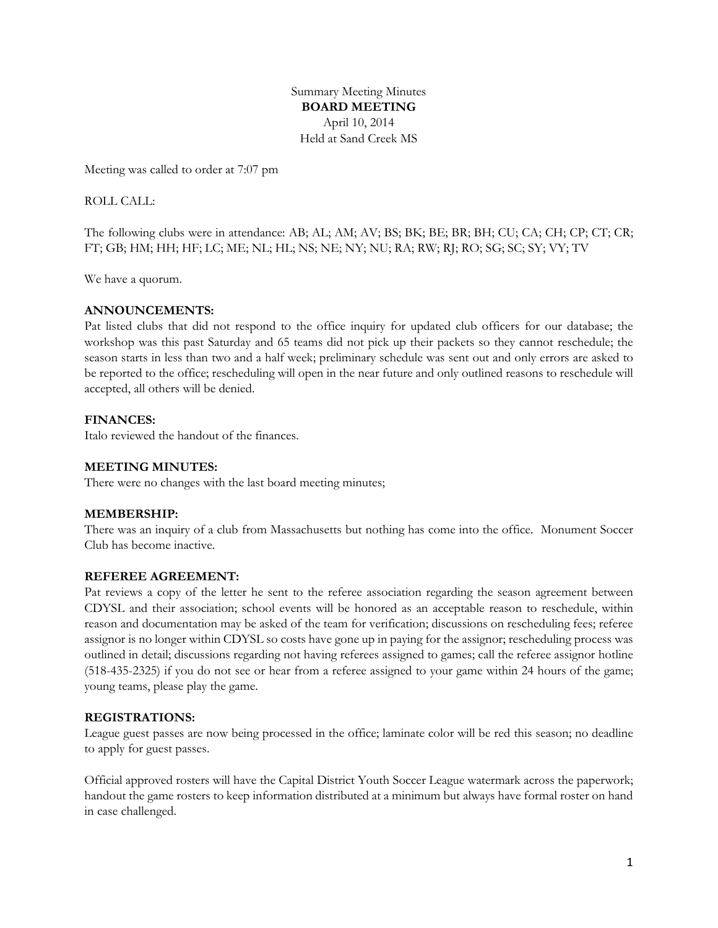Summary Meeting Minutes **BOARD MEETING** April 10, 2014 Held at Sand Creek MS

Meeting was called to order at 7:07 pm

ROLL CALL:

The following clubs were in attendance: AB; AL; AM; AV; BS; BK; BE; BR; BH; CU; CA; CH; CP; CT; CR; FT; GB; HM; HH; HF; LC; ME; NL; HL; NS; NE; NY; NU; RA; RW; RJ; RO; SG; SC; SY; VY; TV

We have a quorum.

# **ANNOUNCEMENTS:**

Pat listed clubs that did not respond to the office inquiry for updated club officers for our database; the workshop was this past Saturday and 65 teams did not pick up their packets so they cannot reschedule; the season starts in less than two and a half week; preliminary schedule was sent out and only errors are asked to be reported to the office; rescheduling will open in the near future and only outlined reasons to reschedule will accepted, all others will be denied.

# **FINANCES:**

Italo reviewed the handout of the finances.

# **MEETING MINUTES:**

There were no changes with the last board meeting minutes;

### **MEMBERSHIP:**

There was an inquiry of a club from Massachusetts but nothing has come into the office. Monument Soccer Club has become inactive.

### **REFEREE AGREEMENT:**

Pat reviews a copy of the letter he sent to the referee association regarding the season agreement between CDYSL and their association; school events will be honored as an acceptable reason to reschedule, within reason and documentation may be asked of the team for verification; discussions on rescheduling fees; referee assignor is no longer within CDYSL so costs have gone up in paying for the assignor; rescheduling process was outlined in detail; discussions regarding not having referees assigned to games; call the referee assignor hotline (518-435-2325) if you do not see or hear from a referee assigned to your game within 24 hours of the game; young teams, please play the game.

### **REGISTRATIONS:**

League guest passes are now being processed in the office; laminate color will be red this season; no deadline to apply for guest passes.

Official approved rosters will have the Capital District Youth Soccer League watermark across the paperwork; handout the game rosters to keep information distributed at a minimum but always have formal roster on hand in case challenged.